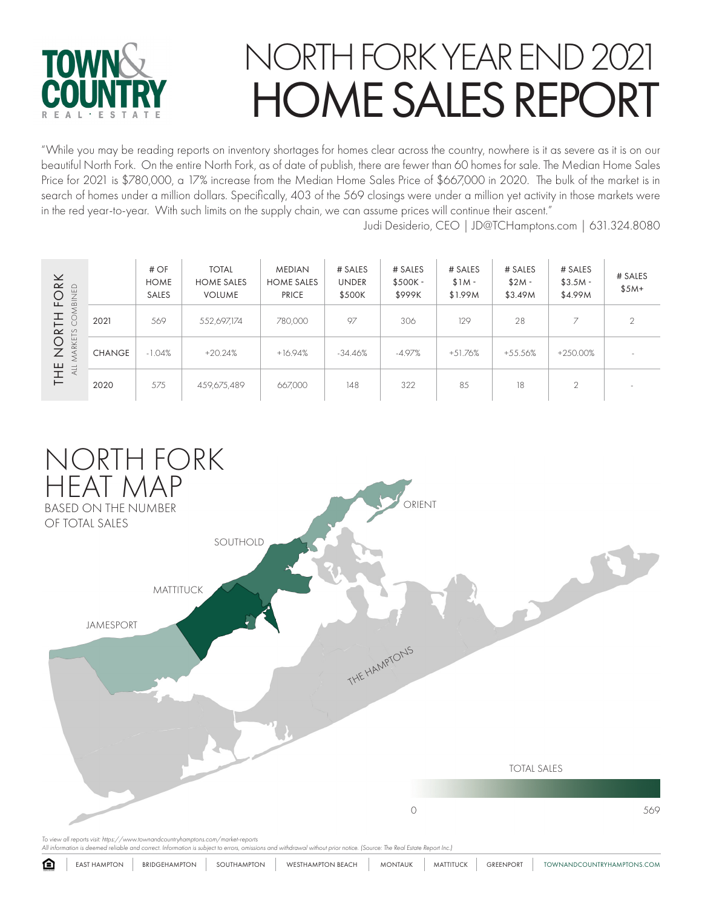

"While you may be reading reports on inventory shortages for homes clear across the country, nowhere is it as severe as it is on our beautiful North Fork. On the entire North Fork, as of date of publish, there are fewer than 60 homes for sale. The Median Home Sales Price for 2021 is \$780,000, a 17% increase from the Median Home Sales Price of \$667,000 in 2020. The bulk of the market is in search of homes under a million dollars. Specifically, 403 of the 569 closings were under a million yet activity in those markets were in the red year-to-year. With such limits on the supply chain, we can assume prices will continue their ascent."

Judi Desiderio, CEO | JD@TCHamptons.com | 631.324.8080

| $\mathsf{\underline{\times}}$<br>$\simeq$<br>$rac{D}{2}$<br>$\overline{O}$<br>$\frac{2}{5}$<br>$\frac{1}{2}$<br>工<br>CO<br>$\vdash$<br>$\simeq$<br>$\frac{8}{10}$<br>$\circ$<br>MARKE <sup>-</sup><br>Ζ<br>THE<br>ALL |               | #OF<br><b>HOME</b><br><b>SALES</b> | <b>TOTAL</b><br><b>HOME SALES</b><br><b>VOLUME</b> | <b>MEDIAN</b><br><b>HOME SALES</b><br><b>PRICE</b> | # SALES<br><b>UNDER</b><br>\$500K | # SALES<br>$$500K -$<br>\$999K | # SALES<br>$$1M -$<br>\$1.99M | # SALES<br>$$2M -$<br>\$3.49M | # SALES<br>$$3.5M -$<br>\$4.99M | # SALES<br>$$5M+$ |
|-----------------------------------------------------------------------------------------------------------------------------------------------------------------------------------------------------------------------|---------------|------------------------------------|----------------------------------------------------|----------------------------------------------------|-----------------------------------|--------------------------------|-------------------------------|-------------------------------|---------------------------------|-------------------|
|                                                                                                                                                                                                                       | 2021          | 569                                | 552,697,174                                        | 780,000                                            | 97                                | 306                            | 129                           | 28                            | $\rightarrow$                   | 2                 |
|                                                                                                                                                                                                                       | <b>CHANGE</b> | $-1.04%$                           | $+20.24%$                                          | $+16.94%$                                          | $-34.46%$                         | $-4.97%$                       | $+51.76%$                     | $+55.56%$                     | +250.00%                        | -                 |
|                                                                                                                                                                                                                       | 2020          | 575                                | 459,675,489                                        | 667,000                                            | 148                               | 322                            | 85                            | 18                            | 2                               |                   |



*All information is deemed reliable and correct. Information is subject to errors, omissions and withdrawal without prior notice. (Source: The Real Estate Report Inc.)*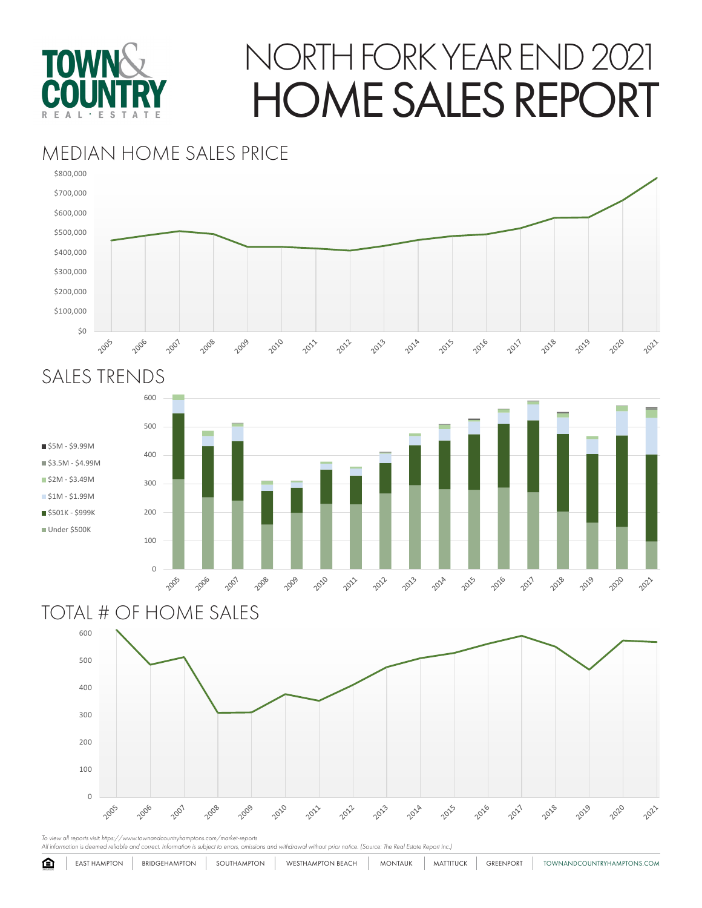

### MEDIAN HOME SALES PRICE



### SALES TRENDS



#### TOTAL # OF HOME SALES



*To view all reports visit: https://www.townandcountryhamptons.com/market-reports All information is deemed reliable and correct. Information is subject to errors, omissions and withdrawal without prior notice. (Source: The Real Estate Report Inc.)*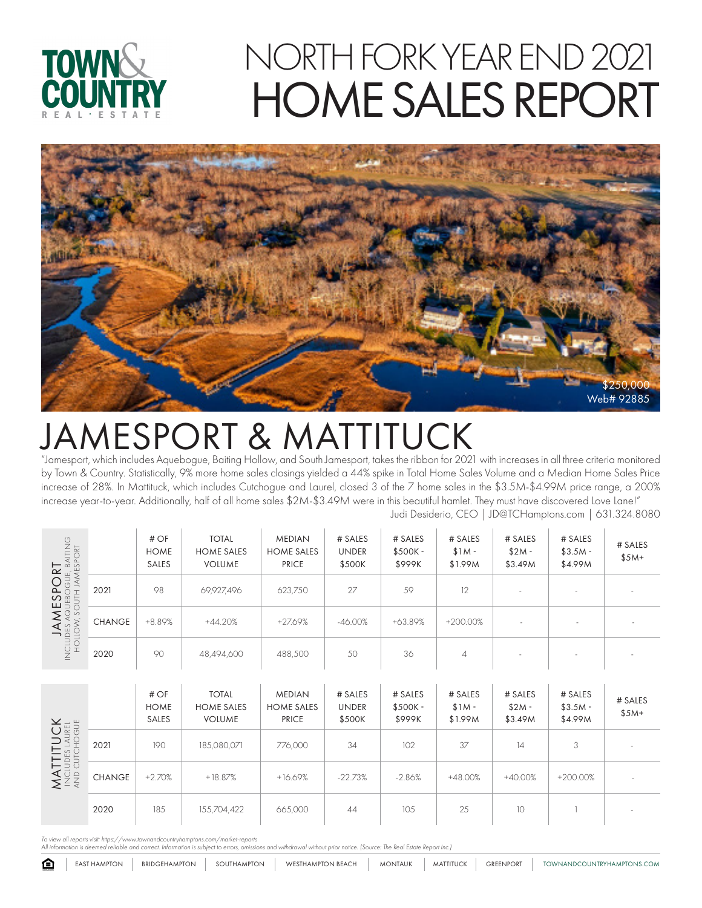



### JAMESPORT & MATTITUCK

"Jamesport, which includes Aquebogue, Baiting Hollow, and South Jamesport, takes the ribbon for 2021 with increases in all three criteria monitored by Town & Country. Statistically, 9% more home sales closings yielded a 44% spike in Total Home Sales Volume and a Median Home Sales Price increase of 28%. In Mattituck, which includes Cutchogue and Laurel, closed 3 of the 7 home sales in the \$3.5M-\$4.99M price range, a 200% increase year-to-year. Additionally, half of all home sales \$2M-\$3.49M were in this beautiful hamlet. They must have discovered Love Lane!" Judi Desiderio, CEO | JD@TCHamptons.com | 631.324.8080

# OF MEDIAN # SALES # SALES # SALES # SALES TOTAL # SALES **JAMESPORT**<br>des aquebogue, baiting<br>low, south jamesport INCLUDES AQUEBOGUE, BAITING # SALES **HOME** HOME SALES HOME SALES UNDER \$500K - \$1M -  $$2M -$ HOLLOW, SOUTH JAMESPORT  $$3.5M -$ \$5M+ VOLUME PRICE \$500K \$999K \$1.99M \$4.99M SALES \$3.49M JAMESPORT 2021 | 98 | 69,927,496 | 623,750 | 27 | 59 | 12 | - | - | -CHANGE +8.89% +44.20% +27.69% -46.00% +63.89% +200.00% - - - - - - - - - - - -  $rac{1}{2}$ NCLU 2020 | 90 | 48,494,600 | 488,500 | 50 | 36 | 4 | - | - | -

| <b>MATTITUCK</b><br>Includes laurel<br>And cutchogue |               | #OF<br><b>HOME</b><br><b>SALES</b> | <b>TOTAL</b><br><b>HOME SALES</b><br><b>VOLUME</b> | <b>MEDIAN</b><br><b>HOME SALES</b><br><b>PRICE</b> | # SALES<br><b>UNDER</b><br>\$500K | # SALES<br>$$500K -$<br>\$999K | # SALES<br>$$1M -$<br>\$1.99M | # SALES<br>$$2M -$<br>\$3.49M | # SALES<br>$$3.5M -$<br>\$4.99M | # SALES<br>$$5M+$ |
|------------------------------------------------------|---------------|------------------------------------|----------------------------------------------------|----------------------------------------------------|-----------------------------------|--------------------------------|-------------------------------|-------------------------------|---------------------------------|-------------------|
|                                                      | 2021          | 190                                | 185,080,071                                        | 776,000                                            | 34                                | 102                            | 37                            | 4                             | 3                               |                   |
|                                                      | <b>CHANGE</b> | $+2.70%$                           | $+18.87%$                                          | $+16.69%$                                          | $-22.73%$                         | $-2.86%$                       | +48.00%                       | $+40.00%$                     | $+200.00\%$                     |                   |
|                                                      | 2020          | 185                                | 155,704,422                                        | 665,000                                            | 44                                | 105                            | 25                            | 10                            |                                 |                   |

*To view all reports visit: https://www.townandcountryhamptons.com/market-reports All information is deemed reliable and correct. Information is subject to errors, omissions and withdrawal without prior notice. (Source: The Real Estate Report Inc.)*